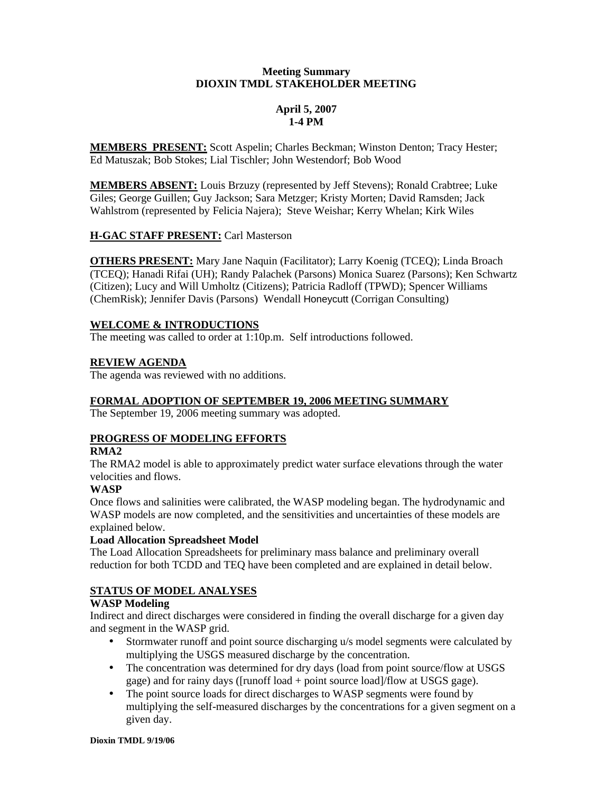### **Meeting Summary DIOXIN TMDL STAKEHOLDER MEETING**

## **April 5, 2007 1-4 PM**

**MEMBERS PRESENT:** Scott Aspelin; Charles Beckman; Winston Denton; Tracy Hester; Ed Matuszak; Bob Stokes; Lial Tischler; John Westendorf; Bob Wood

**MEMBERS ABSENT:** Louis Brzuzy (represented by Jeff Stevens); Ronald Crabtree; Luke Giles; George Guillen; Guy Jackson; Sara Metzger; Kristy Morten; David Ramsden; Jack Wahlstrom (represented by Felicia Najera); Steve Weishar; Kerry Whelan; Kirk Wiles

## **H-GAC STAFF PRESENT:** Carl Masterson

**OTHERS PRESENT:** Mary Jane Naquin (Facilitator); Larry Koenig (TCEQ); Linda Broach (TCEQ); Hanadi Rifai (UH); Randy Palachek (Parsons) Monica Suarez (Parsons); Ken Schwartz (Citizen); Lucy and Will Umholtz (Citizens); Patricia Radloff (TPWD); Spencer Williams (ChemRisk); Jennifer Davis (Parsons) Wendall Honeycutt (Corrigan Consulting)

## **WELCOME & INTRODUCTIONS**

The meeting was called to order at 1:10p.m. Self introductions followed.

## **REVIEW AGENDA**

The agenda was reviewed with no additions.

# **FORMAL ADOPTION OF SEPTEMBER 19, 2006 MEETING SUMMARY**

The September 19, 2006 meeting summary was adopted.

# **PROGRESS OF MODELING EFFORTS**

### **RMA2**

The RMA2 model is able to approximately predict water surface elevations through the water velocities and flows.

### **WASP**

Once flows and salinities were calibrated, the WASP modeling began. The hydrodynamic and WASP models are now completed, and the sensitivities and uncertainties of these models are explained below.

# **Load Allocation Spreadsheet Model**

The Load Allocation Spreadsheets for preliminary mass balance and preliminary overall reduction for both TCDD and TEQ have been completed and are explained in detail below.

# **STATUS OF MODEL ANALYSES**

### **WASP Modeling**

Indirect and direct discharges were considered in finding the overall discharge for a given day and segment in the WASP grid.

- Stormwater runoff and point source discharging u/s model segments were calculated by multiplying the USGS measured discharge by the concentration.
- The concentration was determined for dry days (load from point source/flow at USGS gage) and for rainy days ([runoff load + point source load]/flow at USGS gage).
- The point source loads for direct discharges to WASP segments were found by multiplying the self-measured discharges by the concentrations for a given segment on a given day.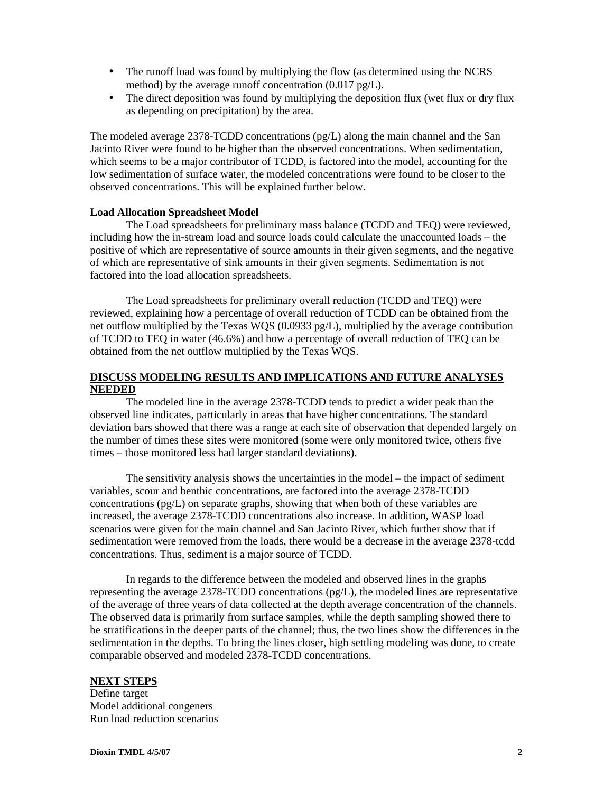- The runoff load was found by multiplying the flow (as determined using the NCRS method) by the average runoff concentration (0.017 pg/L).
- The direct deposition was found by multiplying the deposition flux (wet flux or dry flux as depending on precipitation) by the area.

The modeled average 2378-TCDD concentrations (pg/L) along the main channel and the San Jacinto River were found to be higher than the observed concentrations. When sedimentation, which seems to be a major contributor of TCDD, is factored into the model, accounting for the low sedimentation of surface water, the modeled concentrations were found to be closer to the observed concentrations. This will be explained further below.

#### **Load Allocation Spreadsheet Model**

The Load spreadsheets for preliminary mass balance (TCDD and TEQ) were reviewed, including how the in-stream load and source loads could calculate the unaccounted loads – the positive of which are representative of source amounts in their given segments, and the negative of which are representative of sink amounts in their given segments. Sedimentation is not factored into the load allocation spreadsheets.

The Load spreadsheets for preliminary overall reduction (TCDD and TEQ) were reviewed, explaining how a percentage of overall reduction of TCDD can be obtained from the net outflow multiplied by the Texas WQS (0.0933 pg/L), multiplied by the average contribution of TCDD to TEQ in water (46.6%) and how a percentage of overall reduction of TEQ can be obtained from the net outflow multiplied by the Texas WQS.

### **DISCUSS MODELING RESULTS AND IMPLICATIONS AND FUTURE ANALYSES NEEDED**

The modeled line in the average 2378-TCDD tends to predict a wider peak than the observed line indicates, particularly in areas that have higher concentrations. The standard deviation bars showed that there was a range at each site of observation that depended largely on the number of times these sites were monitored (some were only monitored twice, others five times – those monitored less had larger standard deviations).

The sensitivity analysis shows the uncertainties in the model – the impact of sediment variables, scour and benthic concentrations, are factored into the average 2378-TCDD concentrations (pg/L) on separate graphs, showing that when both of these variables are increased, the average 2378-TCDD concentrations also increase. In addition, WASP load scenarios were given for the main channel and San Jacinto River, which further show that if sedimentation were removed from the loads, there would be a decrease in the average 2378-tcdd concentrations. Thus, sediment is a major source of TCDD.

In regards to the difference between the modeled and observed lines in the graphs representing the average 2378-TCDD concentrations  $(pg/L)$ , the modeled lines are representative of the average of three years of data collected at the depth average concentration of the channels. The observed data is primarily from surface samples, while the depth sampling showed there to be stratifications in the deeper parts of the channel; thus, the two lines show the differences in the sedimentation in the depths. To bring the lines closer, high settling modeling was done, to create comparable observed and modeled 2378-TCDD concentrations.

### **NEXT STEPS**

Define target Model additional congeners Run load reduction scenarios